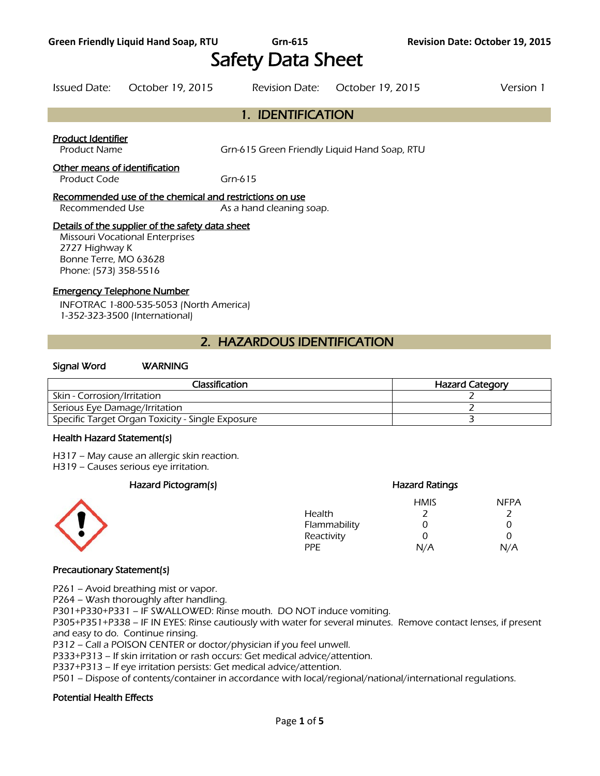# Safety Data Sheet

Issued Date: October 19, 2015 Revision Date: October 19, 2015 Version 1

# 1. IDENTIFICATION

## Product Identifier

Product Name Grn-615 Green Friendly Liquid Hand Soap, RTU

## Other means of identification

Product Code Grn-615

## Recommended use of the chemical and restrictions on use

Recommended Use As a hand cleaning soap.

## Details of the supplier of the safety data sheet

Missouri Vocational Enterprises 2727 Highway K Bonne Terre, MO 63628 Phone: (573) 358-5516

## Emergency Telephone Number

INFOTRAC 1-800-535-5053 (North America) 1-352-323-3500 (International)

# 2. HAZARDOUS IDENTIFICATION

## Signal Word WARNING

| <b>Classification</b>                            | <b>Hazard Category</b> |
|--------------------------------------------------|------------------------|
| Skin - Corrosion/Irritation                      |                        |
| Serious Eye Damage/Irritation                    |                        |
| Specific Target Organ Toxicity - Single Exposure |                        |
|                                                  |                        |

#### Health Hazard Statement(s)

H317 – May cause an allergic skin reaction.

H319 – Causes serious eye irritation.

## Hazard Pictogram(s) extending the extending Hazard Ratings



## HMIS NFPA Health 2 2 Flammability 0 0 0 Reactivity 0 0 0 PPE N/A N/A

## Precautionary Statement(s)

P261 – Avoid breathing mist or vapor.

P264 – Wash thoroughly after handling.

P301+P330+P331 – IF SWALLOWED: Rinse mouth. DO NOT induce vomiting.

P305+P351+P338 – IF IN EYES: Rinse cautiously with water for several minutes. Remove contact lenses, if present and easy to do. Continue rinsing.

P312 – Call a POISON CENTER or doctor/physician if you feel unwell.

P333+P313 – If skin irritation or rash occurs: Get medical advice/attention.

P337+P313 – If eye irritation persists: Get medical advice/attention.

P501 – Dispose of contents/container in accordance with local/regional/national/international regulations.

## Potential Health Effects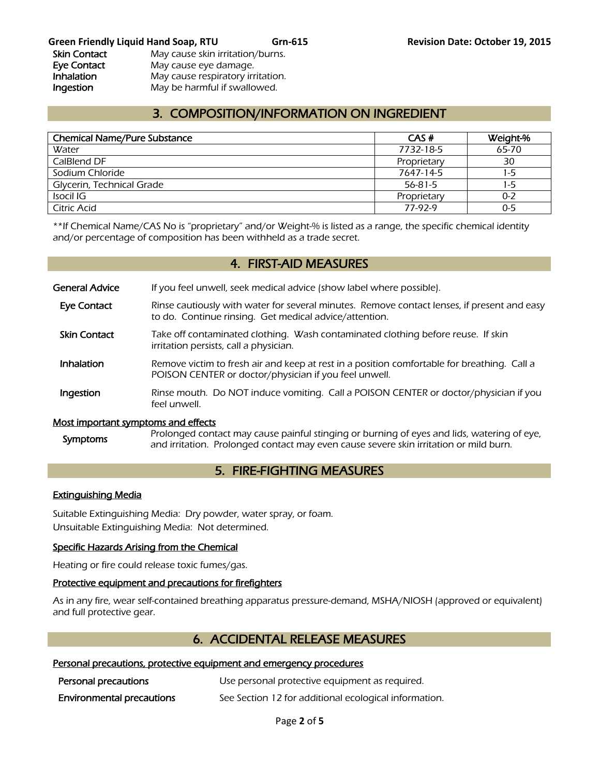# 3. COMPOSITION/INFORMATION ON INGREDIENT

| <b>Chemical Name/Pure Substance</b> | CAS#        | Weight-% |
|-------------------------------------|-------------|----------|
| Water                               | 7732-18-5   | 65-70    |
| CalBlend DF                         | Proprietary | 30       |
| Sodium Chloride                     | 7647-14-5   | 1-5      |
| Glycerin, Technical Grade           | 56-81-5     | 1-5      |
| Isocil IG                           | Proprietary | 0-2      |
| Citric Acid                         | 77-97-9     | $0 - 5$  |
|                                     |             |          |

\*\*If Chemical Name/CAS No is "proprietary" and/or Weight-% is listed as a range, the specific chemical identity and/or percentage of composition has been withheld as a trade secret.

## 4. FIRST-AID MEASURES

General Advice If you feel unwell, seek medical advice (show label where possible).

- Eye Contact Rinse cautiously with water for several minutes. Remove contact lenses, if present and easy to do. Continue rinsing. Get medical advice/attention.
- Skin Contact Take off contaminated clothing. Wash contaminated clothing before reuse. If skin irritation persists, call a physician.
- **Inhalation** Remove victim to fresh air and keep at rest in a position comfortable for breathing. Call a POISON CENTER or doctor/physician if you feel unwell.
- **Ingestion** Rinse mouth. Do NOT induce vomiting. Call a POISON CENTER or doctor/physician if you feel unwell.

#### Most important symptoms and effects

Symptoms Prolonged contact may cause painful stinging or burning of eyes and lids, watering of eye, and irritation. Prolonged contact may even cause severe skin irritation or mild burn.

# 5. FIRE-FIGHTING MEASURES

#### Extinguishing Media

Suitable Extinguishing Media: Dry powder, water spray, or foam. Unsuitable Extinguishing Media: Not determined.

## Specific Hazards Arising from the Chemical

Heating or fire could release toxic fumes/gas.

#### Protective equipment and precautions for firefighters

As in any fire, wear self-contained breathing apparatus pressure-demand, MSHA/NIOSH (approved or equivalent) and full protective gear.

## 6. ACCIDENTAL RELEASE MEASURES

#### Personal precautions, protective equipment and emergency procedures

| Personal precautions             | Use personal protective equipment as required.        |
|----------------------------------|-------------------------------------------------------|
| <b>Environmental precautions</b> | See Section 12 for additional ecological information. |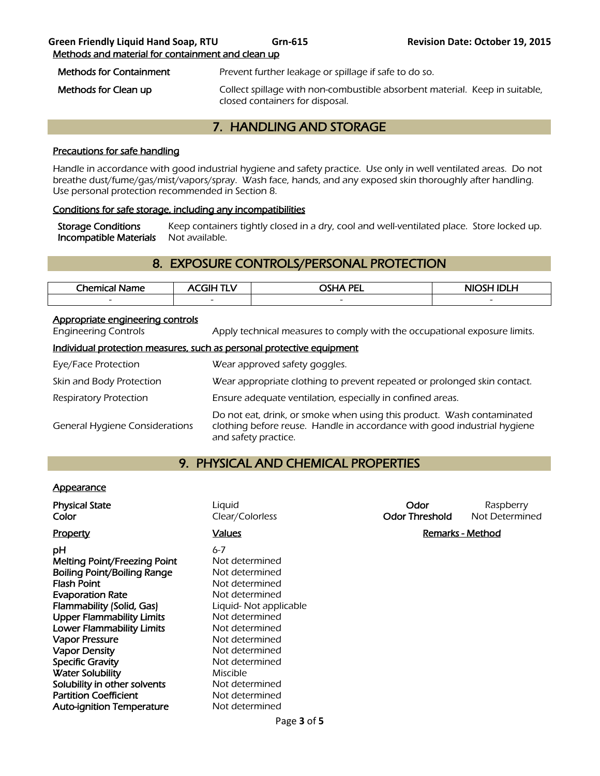| <b>Methods for Containment</b> | Prevent further leakage or spillage if safe to do so.                       |
|--------------------------------|-----------------------------------------------------------------------------|
| Methods for Clean up           | Collect spillage with non-combustible absorbent material. Keep in suitable, |

closed containers for disposal.

# 7. HANDLING AND STORAGE

## Precautions for safe handling

Handle in accordance with good industrial hygiene and safety practice. Use only in well ventilated areas. Do not breathe dust/fume/gas/mist/vapors/spray. Wash face, hands, and any exposed skin thoroughly after handling. Use personal protection recommended in Section 8.

## Conditions for safe storage, including any incompatibilities

Storage Conditions Keep containers tightly closed in a dry, cool and well-ventilated place. Store locked up. Incompatible Materials Not available.

# 8. EXPOSURE CONTROLS/PERSONAL PROTECTION

| Chemical<br>Name | - 1 1 -                  | <b>OSHA PEL</b>          | <b>NIOS!</b><br>л<br>.LM |
|------------------|--------------------------|--------------------------|--------------------------|
| $\sim$           | $\overline{\phantom{0}}$ | $\overline{\phantom{0}}$ | $\sim$                   |
|                  |                          |                          |                          |

## Appropriate engineering controls

Engineering Controls **Apply technical measures to comply with the occupational exposure limits.** 

## Individual protection measures, such as personal protective equipment

| Eye/Face Protection                   | Wear approved safety goggles.                                                                                                                                              |
|---------------------------------------|----------------------------------------------------------------------------------------------------------------------------------------------------------------------------|
| Skin and Body Protection              | Wear appropriate clothing to prevent repeated or prolonged skin contact.                                                                                                   |
| Respiratory Protection                | Ensure adequate ventilation, especially in confined areas.                                                                                                                 |
| <b>General Hygiene Considerations</b> | Do not eat, drink, or smoke when using this product. Wash contaminated<br>clothing before reuse. Handle in accordance with good industrial hygiene<br>and safety practice. |

## 9. PHYSICAL AND CHEMICAL PROPERTIES

## **Appearance**

| <b>Physical State</b><br>Color                                                                                                                                                                                                                                                                                                                                                   | Liquid<br>Clear/Colorless                                                                                                                                                                                                     | Odor<br><b>Odor Threshold</b> | Raspberry<br>Not Determined |
|----------------------------------------------------------------------------------------------------------------------------------------------------------------------------------------------------------------------------------------------------------------------------------------------------------------------------------------------------------------------------------|-------------------------------------------------------------------------------------------------------------------------------------------------------------------------------------------------------------------------------|-------------------------------|-----------------------------|
| Property                                                                                                                                                                                                                                                                                                                                                                         | <b>Values</b>                                                                                                                                                                                                                 | Remarks - Method              |                             |
| рH<br>$6 - 7$<br><b>Melting Point/Freezing Point</b><br>Boiling Point/Boiling Range<br><b>Flash Point</b><br><b>Evaporation Rate</b><br>Flammability (Solid, Gas)<br><b>Upper Flammability Limits</b><br><b>Lower Flammability Limits</b><br><b>Vapor Pressure</b><br><b>Vapor Density</b><br><b>Specific Gravity</b><br><b>Water Solubility</b><br>Solubility in other solvents | Not determined<br>Not determined<br>Not determined<br>Not determined<br>Liquid- Not applicable<br>Not determined<br>Not determined<br>Not determined<br>Not determined<br>Not determined<br><b>Miscible</b><br>Not determined |                               |                             |
| <b>Partition Coefficient</b><br><b>Auto-ignition Temperature</b>                                                                                                                                                                                                                                                                                                                 | Not determined<br>Not determined                                                                                                                                                                                              |                               |                             |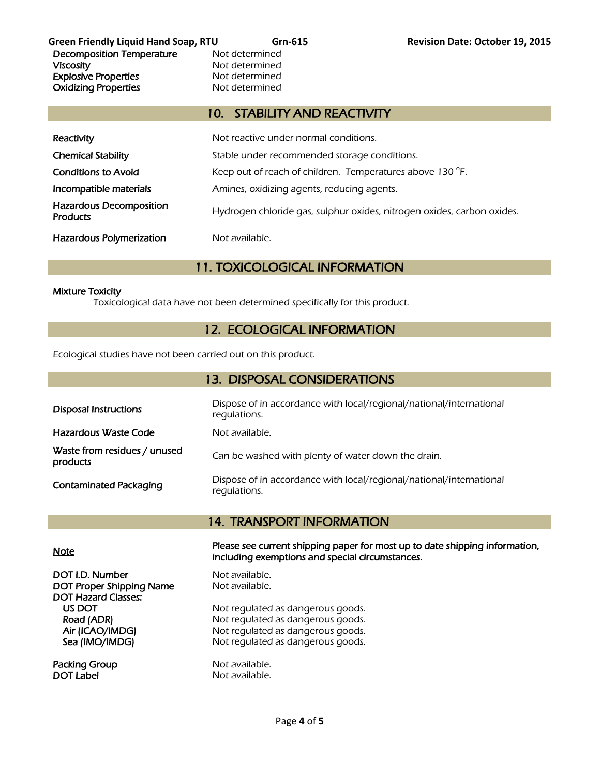**Green Friendly Liquid Hand Soap, RTU Grn-615 Revision Date: October 19, 2015**  Decomposition Temperature Not determined Viscosity **Not determined** Explosive Properties<br>
Oxidizing Properties<br>
Oxidizing Properties<br>
Not determined **Oxidizing Properties** 

## 10. STABILITY AND REACTIVITY

| Reactivity                                        | Not reactive under normal conditions.                                  |
|---------------------------------------------------|------------------------------------------------------------------------|
| <b>Chemical Stability</b>                         | Stable under recommended storage conditions.                           |
| <b>Conditions to Avoid</b>                        | Keep out of reach of children. Temperatures above 130 °F.              |
| Incompatible materials                            | Amines, oxidizing agents, reducing agents.                             |
| <b>Hazardous Decomposition</b><br><b>Products</b> | Hydrogen chloride gas, sulphur oxides, nitrogen oxides, carbon oxides. |
| <b>Hazardous Polymerization</b>                   | Not available.                                                         |

# 11. TOXICOLOGICAL INFORMATION

## Mixture Toxicity

Toxicological data have not been determined specifically for this product.

# 12. ECOLOGICAL INFORMATION

Ecological studies have not been carried out on this product.

| 13. DISPOSAL CONSIDERATIONS              |                                                                                     |  |  |
|------------------------------------------|-------------------------------------------------------------------------------------|--|--|
| <b>Disposal Instructions</b>             | Dispose of in accordance with local/regional/national/international<br>regulations. |  |  |
| Hazardous Waste Code                     | Not available.                                                                      |  |  |
| Waste from residues / unused<br>products | Can be washed with plenty of water down the drain.                                  |  |  |
| <b>Contaminated Packaging</b>            | Dispose of in accordance with local/regional/national/international<br>regulations. |  |  |

# 14. TRANSPORT INFORMATION

DOT I.D. Number Not available. DOT Proper Shipping Name Not available. DOT Hazard Classes:

Packing Group Not available. DOT Label Not available.

Note Please see current shipping paper for most up to date shipping information, including exemptions and special circumstances.

US DOT Not regulated as dangerous goods.<br>
Road (ADR) Not regulated as dangerous goods. Not regulated as dangerous goods. Air (ICAO/IMDG) Not regulated as dangerous goods. Sea (IMO/IMDG) Not regulated as dangerous goods.